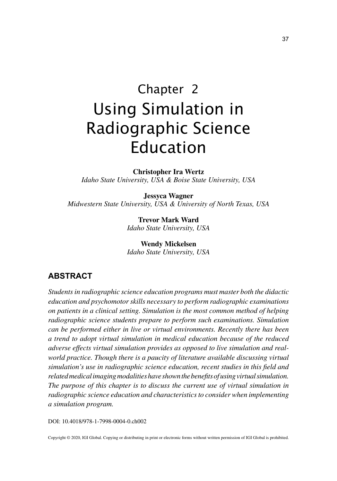# Chapter 2 Using Simulation in Radiographic Science Education

**Christopher Ira Wertz** *Idaho State University, USA & Boise State University, USA*

**Jessyca Wagner** *Midwestern State University, USA & University of North Texas, USA*

> **Trevor Mark Ward** *Idaho State University, USA*

> **Wendy Mickelsen** *Idaho State University, USA*

### **ABSTRACT**

*Students in radiographic science education programs must master both the didactic education and psychomotor skills necessary to perform radiographic examinations on patients in a clinical setting. Simulation is the most common method of helping radiographic science students prepare to perform such examinations. Simulation can be performed either in live or virtual environments. Recently there has been a trend to adopt virtual simulation in medical education because of the reduced adverse effects virtual simulation provides as opposed to live simulation and real*world practice. Though there is a paucity of literature available discussing virtual *simulation's use in radiographic science education, recent studies in this field and related medical imaging modalities have shown the benefits of using virtual simulation. The purpose of this chapter is to discuss the current use of virtual simulation in radiographic science education and characteristics to consider when implementing a simulation program.*

DOI: 10.4018/978-1-7998-0004-0.ch002

Copyright © 2020, IGI Global. Copying or distributing in print or electronic forms without written permission of IGI Global is prohibited.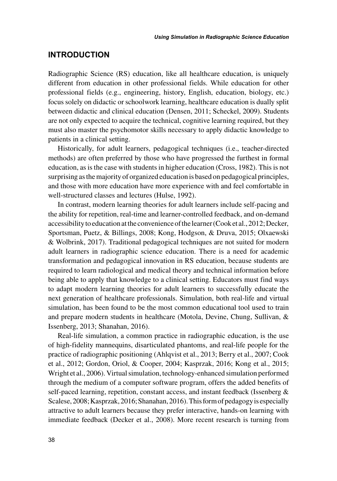#### **INTRODUCTION**

Radiographic Science (RS) education, like all healthcare education, is uniquely different from education in other professional fields. While education for other professional fields (e.g., engineering, history, English, education, biology, etc.) focus solely on didactic or schoolwork learning, healthcare education is dually split between didactic and clinical education (Densen, 2011; Scheckel, 2009). Students are not only expected to acquire the technical, cognitive learning required, but they must also master the psychomotor skills necessary to apply didactic knowledge to patients in a clinical setting.

Historically, for adult learners, pedagogical techniques (i.e., teacher-directed methods) are often preferred by those who have progressed the furthest in formal education, as is the case with students in higher education (Cross, 1982). This is not surprising as the majority of organized education is based on pedagogical principles, and those with more education have more experience with and feel comfortable in well-structured classes and lectures (Hulse, 1992).

In contrast, modern learning theories for adult learners include self-pacing and the ability for repetition, real-time and learner-controlled feedback, and on-demand accessibility to education at the convenience of the learner (Cook et al., 2012; Decker, Sportsman, Puetz, & Billings, 2008; Kong, Hodgson, & Druva, 2015; Olxaewski & Wolbrink, 2017). Traditional pedagogical techniques are not suited for modern adult learners in radiographic science education. There is a need for academic transformation and pedagogical innovation in RS education, because students are required to learn radiological and medical theory and technical information before being able to apply that knowledge to a clinical setting. Educators must find ways to adapt modern learning theories for adult learners to successfully educate the next generation of healthcare professionals. Simulation, both real-life and virtual simulation, has been found to be the most common educational tool used to train and prepare modern students in healthcare (Motola, Devine, Chung, Sullivan, & Issenberg, 2013; Shanahan, 2016).

Real-life simulation, a common practice in radiographic education, is the use of high-fidelity mannequins, disarticulated phantoms, and real-life people for the practice of radiographic positioning (Ahlqvist et al., 2013; Berry et al., 2007; Cook et al., 2012; Gordon, Oriol, & Cooper, 2004; Kasprzak, 2016; Kong et al., 2015; Wright et al., 2006). Virtual simulation, technology-enhanced simulation performed through the medium of a computer software program, offers the added benefits of self-paced learning, repetition, constant access, and instant feedback (Issenberg & Scalese, 2008; Kasprzak, 2016; Shanahan, 2016). This form of pedagogy is especially attractive to adult learners because they prefer interactive, hands-on learning with immediate feedback (Decker et al., 2008). More recent research is turning from